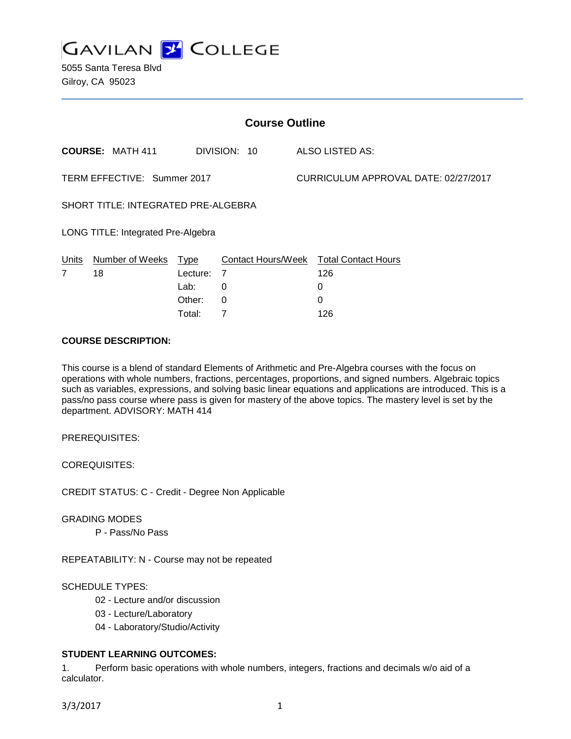**GAVILAN 2 COLLEGE** 

5055 Santa Teresa Blvd Gilroy, CA 95023

| <b>Course Outline</b>                      |                         |          |              |                                      |                                        |
|--------------------------------------------|-------------------------|----------|--------------|--------------------------------------|----------------------------------------|
|                                            | <b>COURSE: MATH 411</b> |          | DIVISION: 10 |                                      | ALSO LISTED AS:                        |
| TERM EFFECTIVE: Summer 2017                |                         |          |              | CURRICULUM APPROVAL DATE: 02/27/2017 |                                        |
| <b>SHORT TITLE: INTEGRATED PRE-ALGEBRA</b> |                         |          |              |                                      |                                        |
| LONG TITLE: Integrated Pre-Algebra         |                         |          |              |                                      |                                        |
| Units                                      | Number of Weeks Type    |          |              |                                      | Contact Hours/Week Total Contact Hours |
| $\overline{7}$                             | 18                      | Lecture: | 7            |                                      | 126                                    |
|                                            |                         | Lab:     | 0            |                                      | 0                                      |
|                                            |                         | Other:   | 0            |                                      | 0                                      |
|                                            |                         | Total:   | 7            |                                      | 126                                    |

#### **COURSE DESCRIPTION:**

This course is a blend of standard Elements of Arithmetic and Pre-Algebra courses with the focus on operations with whole numbers, fractions, percentages, proportions, and signed numbers. Algebraic topics such as variables, expressions, and solving basic linear equations and applications are introduced. This is a pass/no pass course where pass is given for mastery of the above topics. The mastery level is set by the department. ADVISORY: MATH 414

PREREQUISITES:

COREQUISITES:

CREDIT STATUS: C - Credit - Degree Non Applicable

GRADING MODES

P - Pass/No Pass

REPEATABILITY: N - Course may not be repeated

SCHEDULE TYPES:

02 - Lecture and/or discussion

03 - Lecture/Laboratory

04 - Laboratory/Studio/Activity

# **STUDENT LEARNING OUTCOMES:**

1. Perform basic operations with whole numbers, integers, fractions and decimals w/o aid of a calculator.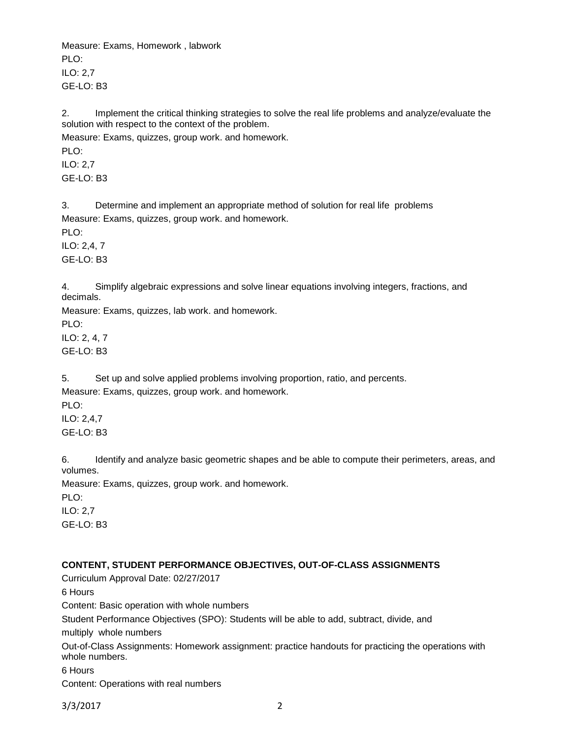Measure: Exams, Homework , labwork PLO<sup>.</sup> ILO: 2,7 GE-LO: B3

2. Implement the critical thinking strategies to solve the real life problems and analyze/evaluate the solution with respect to the context of the problem.

Measure: Exams, quizzes, group work. and homework.

PLO: ILO: 2,7 GE-LO: B3

3. Determine and implement an appropriate method of solution for real life problems Measure: Exams, quizzes, group work. and homework. PLO: ILO: 2,4, 7 GE-LO: B3

4. Simplify algebraic expressions and solve linear equations involving integers, fractions, and decimals.

Measure: Exams, quizzes, lab work. and homework. PLO: ILO: 2, 4, 7 GE-LO: B3

5. Set up and solve applied problems involving proportion, ratio, and percents. Measure: Exams, quizzes, group work. and homework. PLO: ILO: 2,4,7

GE-LO: B3

6. Identify and analyze basic geometric shapes and be able to compute their perimeters, areas, and volumes.

Measure: Exams, quizzes, group work. and homework.

PLO:

ILO: 2,7 GE-LO: B3

# **CONTENT, STUDENT PERFORMANCE OBJECTIVES, OUT-OF-CLASS ASSIGNMENTS**

Curriculum Approval Date: 02/27/2017 6 Hours Content: Basic operation with whole numbers Student Performance Objectives (SPO): Students will be able to add, subtract, divide, and multiply whole numbers Out-of-Class Assignments: Homework assignment: practice handouts for practicing the operations with whole numbers. 6 Hours Content: Operations with real numbers

3/3/2017 2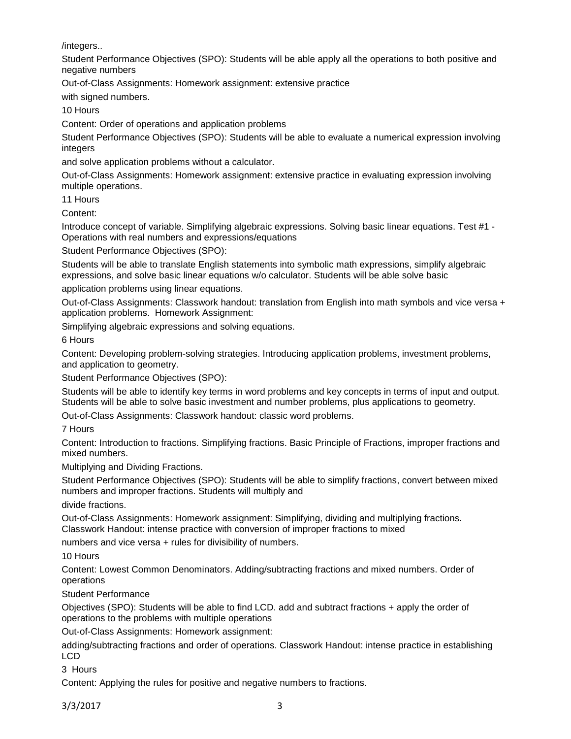/integers..

Student Performance Objectives (SPO): Students will be able apply all the operations to both positive and negative numbers

Out-of-Class Assignments: Homework assignment: extensive practice

with signed numbers.

10 Hours

Content: Order of operations and application problems

Student Performance Objectives (SPO): Students will be able to evaluate a numerical expression involving integers

and solve application problems without a calculator.

Out-of-Class Assignments: Homework assignment: extensive practice in evaluating expression involving multiple operations.

11 Hours

Content:

Introduce concept of variable. Simplifying algebraic expressions. Solving basic linear equations. Test #1 - Operations with real numbers and expressions/equations

Student Performance Objectives (SPO):

Students will be able to translate English statements into symbolic math expressions, simplify algebraic expressions, and solve basic linear equations w/o calculator. Students will be able solve basic

application problems using linear equations.

Out-of-Class Assignments: Classwork handout: translation from English into math symbols and vice versa + application problems. Homework Assignment:

Simplifying algebraic expressions and solving equations.

6 Hours

Content: Developing problem-solving strategies. Introducing application problems, investment problems, and application to geometry.

Student Performance Objectives (SPO):

Students will be able to identify key terms in word problems and key concepts in terms of input and output. Students will be able to solve basic investment and number problems, plus applications to geometry.

Out-of-Class Assignments: Classwork handout: classic word problems.

7 Hours

Content: Introduction to fractions. Simplifying fractions. Basic Principle of Fractions, improper fractions and mixed numbers.

Multiplying and Dividing Fractions.

Student Performance Objectives (SPO): Students will be able to simplify fractions, convert between mixed numbers and improper fractions. Students will multiply and

divide fractions.

Out-of-Class Assignments: Homework assignment: Simplifying, dividing and multiplying fractions. Classwork Handout: intense practice with conversion of improper fractions to mixed

numbers and vice versa + rules for divisibility of numbers.

10 Hours

Content: Lowest Common Denominators. Adding/subtracting fractions and mixed numbers. Order of operations

Student Performance

Objectives (SPO): Students will be able to find LCD. add and subtract fractions + apply the order of operations to the problems with multiple operations

Out-of-Class Assignments: Homework assignment:

adding/subtracting fractions and order of operations. Classwork Handout: intense practice in establishing LCD

3 Hours

Content: Applying the rules for positive and negative numbers to fractions.

3/3/2017 3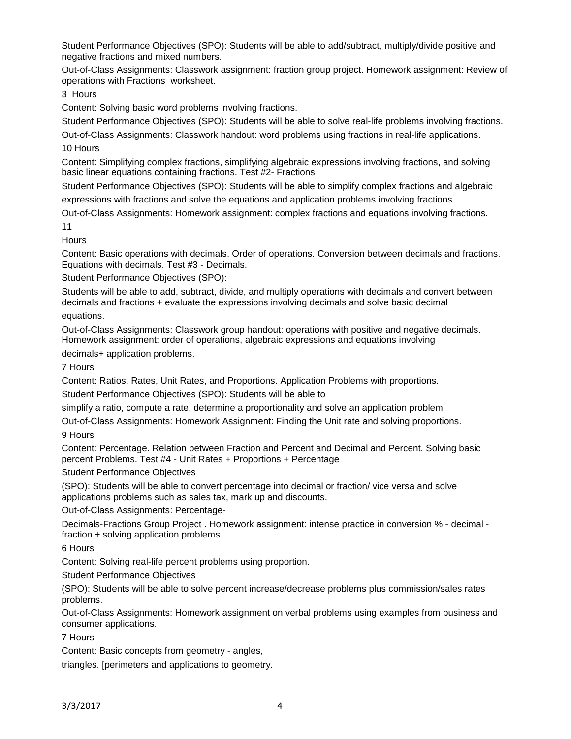Student Performance Objectives (SPO): Students will be able to add/subtract, multiply/divide positive and negative fractions and mixed numbers.

Out-of-Class Assignments: Classwork assignment: fraction group project. Homework assignment: Review of operations with Fractions worksheet.

3 Hours

Content: Solving basic word problems involving fractions.

Student Performance Objectives (SPO): Students will be able to solve real-life problems involving fractions.

Out-of-Class Assignments: Classwork handout: word problems using fractions in real-life applications. 10 Hours

Content: Simplifying complex fractions, simplifying algebraic expressions involving fractions, and solving basic linear equations containing fractions. Test #2- Fractions

Student Performance Objectives (SPO): Students will be able to simplify complex fractions and algebraic expressions with fractions and solve the equations and application problems involving fractions.

Out-of-Class Assignments: Homework assignment: complex fractions and equations involving fractions. 11

**Hours** 

Content: Basic operations with decimals. Order of operations. Conversion between decimals and fractions. Equations with decimals. Test #3 - Decimals.

Student Performance Objectives (SPO):

Students will be able to add, subtract, divide, and multiply operations with decimals and convert between decimals and fractions + evaluate the expressions involving decimals and solve basic decimal equations.

Out-of-Class Assignments: Classwork group handout: operations with positive and negative decimals. Homework assignment: order of operations, algebraic expressions and equations involving

decimals+ application problems.

7 Hours

Content: Ratios, Rates, Unit Rates, and Proportions. Application Problems with proportions.

Student Performance Objectives (SPO): Students will be able to

simplify a ratio, compute a rate, determine a proportionality and solve an application problem

Out-of-Class Assignments: Homework Assignment: Finding the Unit rate and solving proportions. 9 Hours

Content: Percentage. Relation between Fraction and Percent and Decimal and Percent. Solving basic percent Problems. Test #4 - Unit Rates + Proportions + Percentage

Student Performance Objectives

(SPO): Students will be able to convert percentage into decimal or fraction/ vice versa and solve applications problems such as sales tax, mark up and discounts.

Out-of-Class Assignments: Percentage-

Decimals-Fractions Group Project . Homework assignment: intense practice in conversion % - decimal fraction + solving application problems

6 Hours

Content: Solving real-life percent problems using proportion.

Student Performance Objectives

(SPO): Students will be able to solve percent increase/decrease problems plus commission/sales rates problems.

Out-of-Class Assignments: Homework assignment on verbal problems using examples from business and consumer applications.

7 Hours

Content: Basic concepts from geometry - angles,

triangles. [perimeters and applications to geometry.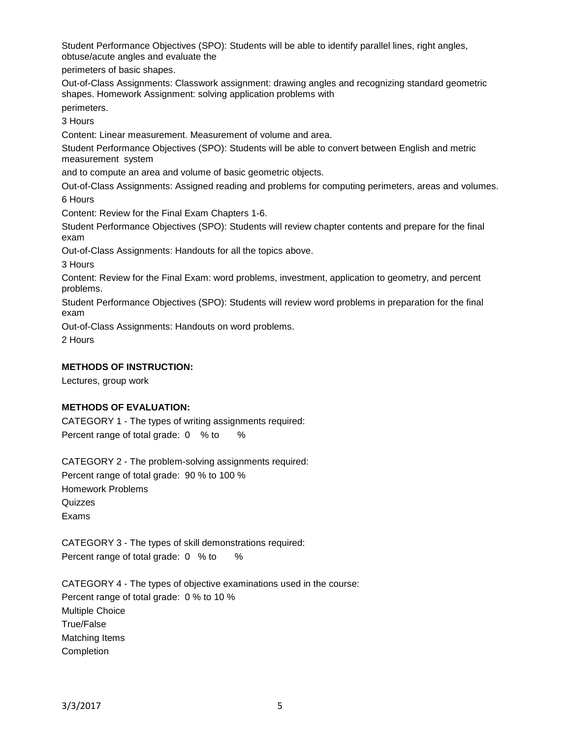Student Performance Objectives (SPO): Students will be able to identify parallel lines, right angles, obtuse/acute angles and evaluate the

perimeters of basic shapes.

Out-of-Class Assignments: Classwork assignment: drawing angles and recognizing standard geometric shapes. Homework Assignment: solving application problems with

perimeters.

3 Hours

Content: Linear measurement. Measurement of volume and area.

Student Performance Objectives (SPO): Students will be able to convert between English and metric measurement system

and to compute an area and volume of basic geometric objects.

Out-of-Class Assignments: Assigned reading and problems for computing perimeters, areas and volumes. 6 Hours

Content: Review for the Final Exam Chapters 1-6.

Student Performance Objectives (SPO): Students will review chapter contents and prepare for the final exam

Out-of-Class Assignments: Handouts for all the topics above.

3 Hours

Content: Review for the Final Exam: word problems, investment, application to geometry, and percent problems.

Student Performance Objectives (SPO): Students will review word problems in preparation for the final exam

Out-of-Class Assignments: Handouts on word problems.

2 Hours

### **METHODS OF INSTRUCTION:**

Lectures, group work

## **METHODS OF EVALUATION:**

CATEGORY 1 - The types of writing assignments required: Percent range of total grade: 0 % to %

CATEGORY 2 - The problem-solving assignments required: Percent range of total grade: 90 % to 100 % Homework Problems **Quizzes** Exams

CATEGORY 3 - The types of skill demonstrations required: Percent range of total grade: 0 % to %

CATEGORY 4 - The types of objective examinations used in the course: Percent range of total grade: 0 % to 10 % Multiple Choice True/False Matching Items Completion